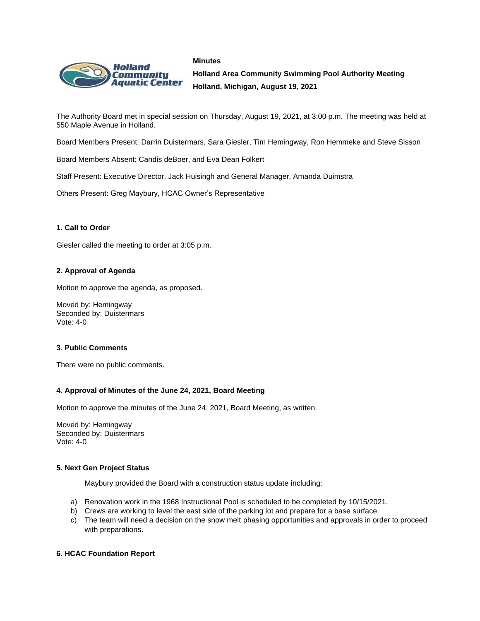#### **Minutes**



**Holland Area Community Swimming Pool Authority Meeting Holland, Michigan, August 19, 2021**

The Authority Board met in special session on Thursday, August 19, 2021, at 3:00 p.m. The meeting was held at 550 Maple Avenue in Holland.

Board Members Present: Darrin Duistermars, Sara Giesler, Tim Hemingway, Ron Hemmeke and Steve Sisson

Board Members Absent: Candis deBoer, and Eva Dean Folkert

Staff Present: Executive Director, Jack Huisingh and General Manager, Amanda Duimstra

Others Present: Greg Maybury, HCAC Owner's Representative

# **1. Call to Order**

Giesler called the meeting to order at 3:05 p.m.

# **2. Approval of Agenda**

Motion to approve the agenda, as proposed.

Moved by: Hemingway Seconded by: Duistermars Vote: 4-0

### **3**. **Public Comments**

There were no public comments.

### **4. Approval of Minutes of the June 24, 2021, Board Meeting**

Motion to approve the minutes of the June 24, 2021, Board Meeting, as written.

Moved by: Hemingway Seconded by: Duistermars Vote: 4-0

### **5. Next Gen Project Status**

Maybury provided the Board with a construction status update including:

- a) Renovation work in the 1968 Instructional Pool is scheduled to be completed by 10/15/2021.
- b) Crews are working to level the east side of the parking lot and prepare for a base surface.
- c) The team will need a decision on the snow melt phasing opportunities and approvals in order to proceed with preparations.

### **6. HCAC Foundation Report**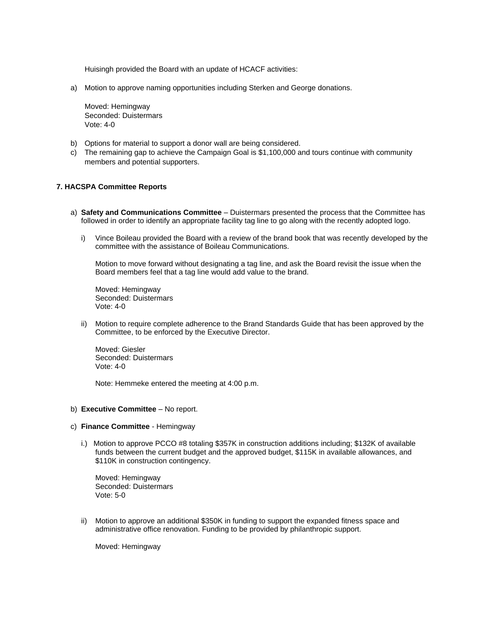Huisingh provided the Board with an update of HCACF activities:

a) Motion to approve naming opportunities including Sterken and George donations.

Moved: Hemingway Seconded: Duistermars Vote: 4-0

- b) Options for material to support a donor wall are being considered.
- c) The remaining gap to achieve the Campaign Goal is \$1,100,000 and tours continue with community members and potential supporters.

### **7. HACSPA Committee Reports**

- a) **Safety and Communications Committee** Duistermars presented the process that the Committee has followed in order to identify an appropriate facility tag line to go along with the recently adopted logo.
	- i) Vince Boileau provided the Board with a review of the brand book that was recently developed by the committee with the assistance of Boileau Communications.

Motion to move forward without designating a tag line, and ask the Board revisit the issue when the Board members feel that a tag line would add value to the brand.

Moved: Hemingway Seconded: Duistermars Vote: 4-0

ii) Motion to require complete adherence to the Brand Standards Guide that has been approved by the Committee, to be enforced by the Executive Director.

Moved: Giesler Seconded: Duistermars Vote: 4-0

Note: Hemmeke entered the meeting at 4:00 p.m.

### b) **Executive Committee** – No report.

- c) **Finance Committee**  Hemingway
	- i.) Motion to approve PCCO #8 totaling \$357K in construction additions including; \$132K of available funds between the current budget and the approved budget, \$115K in available allowances, and \$110K in construction contingency.

Moved: Hemingway Seconded: Duistermars Vote: 5-0

ii) Motion to approve an additional \$350K in funding to support the expanded fitness space and administrative office renovation. Funding to be provided by philanthropic support.

Moved: Hemingway